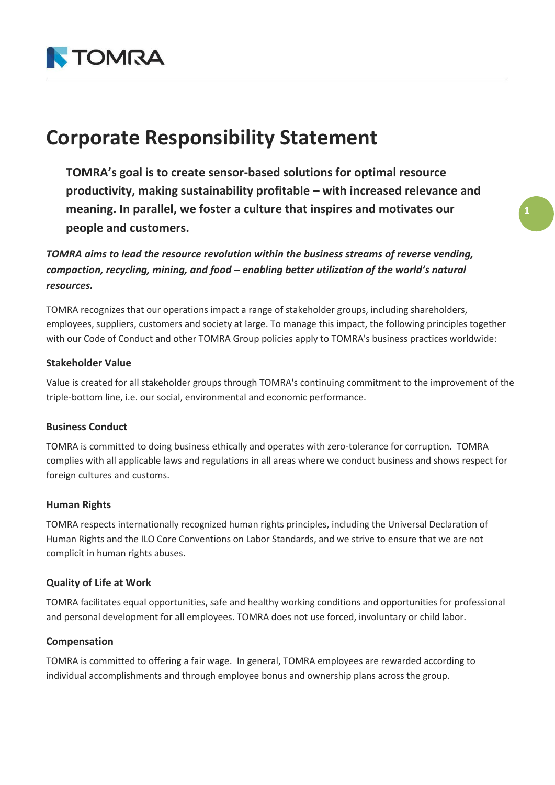

# **Corporate Responsibility Statement**

**TOMRA's goal is to create sensor-based solutions for optimal resource productivity, making sustainability profitable – with increased relevance and meaning. In parallel, we foster a culture that inspires and motivates our people and customers.**

*TOMRA aims to lead the resource revolution within the business streams of reverse vending, compaction, recycling, mining, and food – enabling better utilization of the world's natural resources.*

TOMRA recognizes that our operations impact a range of stakeholder groups, including shareholders, employees, suppliers, customers and society at large. To manage this impact, the following principles together with our Code of Conduct and other TOMRA Group policies apply to TOMRA's business practices worldwide:

# **Stakeholder Value**

Value is created for all stakeholder groups through TOMRA's continuing commitment to the improvement of the triple-bottom line, i.e. our social, environmental and economic performance.

#### **Business Conduct**

TOMRA is committed to doing business ethically and operates with zero-tolerance for corruption. TOMRA complies with all applicable laws and regulations in all areas where we conduct business and shows respect for foreign cultures and customs.

#### **Human Rights**

TOMRA respects internationally recognized human rights principles, including the Universal Declaration of Human Rights and the ILO Core Conventions on Labor Standards, and we strive to ensure that we are not complicit in human rights abuses.

# **Quality of Life at Work**

TOMRA facilitates equal opportunities, safe and healthy working conditions and opportunities for professional and personal development for all employees. TOMRA does not use forced, involuntary or child labor.

#### **Compensation**

TOMRA is committed to offering a fair wage. In general, TOMRA employees are rewarded according to individual accomplishments and through employee bonus and ownership plans across the group.